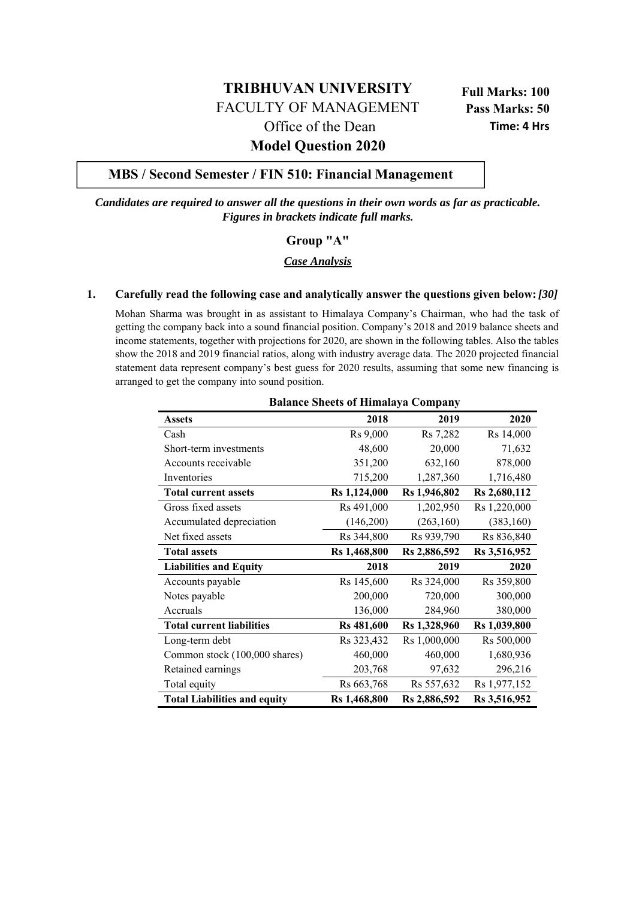# **TRIBHUVAN UNIVERSITY** FACULTY OF MANAGEMENT Office of the Dean

**Full Marks: 100 Pass Marks: 50 Time: 4 Hrs**

# **Model Question 2020**

# **MBS / Second Semester / FIN 510: Financial Management**

*Candidates are required to answer all the questions in their own words as far as practicable. Figures in brackets indicate full marks.* 

# **Group "A"**

# *Case Analysis*

#### **1. Carefully read the following case and analytically answer the questions given below:** *[30]*

Mohan Sharma was brought in as assistant to Himalaya Company's Chairman, who had the task of getting the company back into a sound financial position. Company's 2018 and 2019 balance sheets and income statements, together with projections for 2020, are shown in the following tables. Also the tables show the 2018 and 2019 financial ratios, along with industry average data. The 2020 projected financial statement data represent company's best guess for 2020 results, assuming that some new financing is arranged to get the company into sound position.

| <b>Balance Sheets of Himalaya Company</b> |              |              |              |
|-------------------------------------------|--------------|--------------|--------------|
| <b>Assets</b>                             | 2018         | 2019         | 2020         |
| Cash                                      | Rs 9,000     | Rs 7,282     | Rs 14,000    |
| Short-term investments                    | 48,600       | 20,000       | 71,632       |
| Accounts receivable                       | 351,200      | 632,160      | 878,000      |
| Inventories                               | 715,200      | 1,287,360    | 1,716,480    |
| <b>Total current assets</b>               | Rs 1,124,000 | Rs 1,946,802 | Rs 2,680,112 |
| Gross fixed assets                        | Rs 491,000   | 1,202,950    | Rs 1,220,000 |
| Accumulated depreciation                  | (146,200)    | (263, 160)   | (383, 160)   |
| Net fixed assets                          | Rs 344,800   | Rs 939,790   | Rs 836,840   |
| <b>Total assets</b>                       | Rs 1,468,800 | Rs 2,886,592 | Rs 3,516,952 |
| <b>Liabilities and Equity</b>             | 2018         | 2019         | 2020         |
| Accounts payable                          | Rs 145,600   | Rs 324,000   | Rs 359,800   |
| Notes payable                             | 200,000      | 720,000      | 300,000      |
| Accruals                                  | 136,000      | 284,960      | 380,000      |
| <b>Total current liabilities</b>          | Rs 481,600   | Rs 1,328,960 | Rs 1,039,800 |
| Long-term debt                            | Rs 323,432   | Rs 1,000,000 | Rs 500,000   |
| Common stock (100,000 shares)             | 460,000      | 460,000      | 1,680,936    |
| Retained earnings                         | 203,768      | 97,632       | 296,216      |
| Total equity                              | Rs 663,768   | Rs 557,632   | Rs 1,977,152 |
| <b>Total Liabilities and equity</b>       | Rs 1,468,800 | Rs 2,886,592 | Rs 3,516,952 |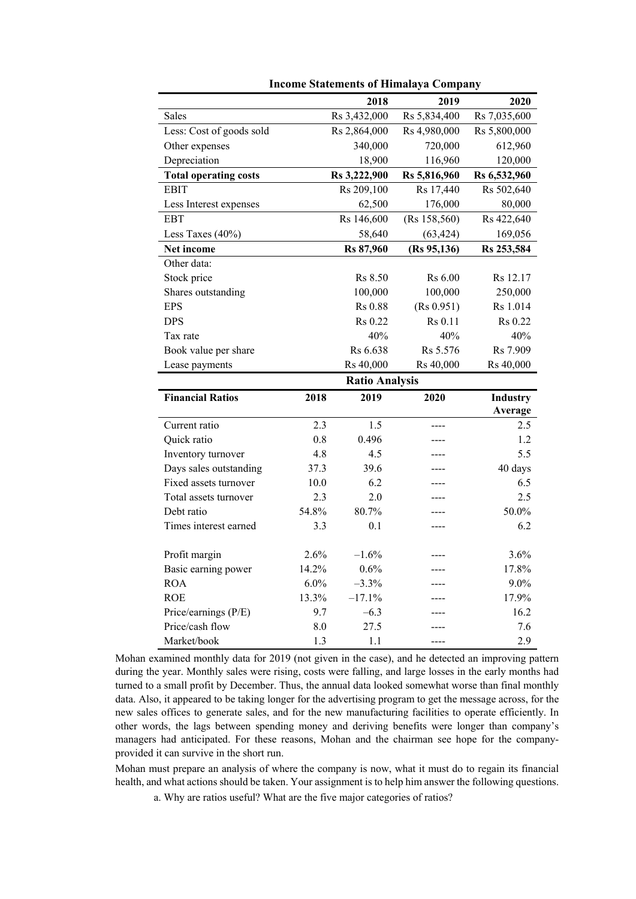|                                |            | 2018                  | 2019          | 2020         |
|--------------------------------|------------|-----------------------|---------------|--------------|
| Sales                          |            | Rs 3,432,000          | Rs 5,834,400  | Rs 7,035,600 |
| Less: Cost of goods sold       |            | Rs 2,864,000          | Rs 4,980,000  | Rs 5,800,000 |
| Other expenses                 |            | 340,000               | 720,000       | 612,960      |
| Depreciation                   |            | 18,900                | 116,960       | 120,000      |
| <b>Total operating costs</b>   |            | Rs 3,222,900          | Rs 5,816,960  | Rs 6,532,960 |
| <b>EBIT</b>                    |            | Rs 209,100            | Rs 17,440     | Rs 502,640   |
| Less Interest expenses         |            | 62,500                | 176,000       | 80,000       |
| <b>EBT</b>                     |            | Rs 146,600            | (Rs 158, 560) | Rs 422,640   |
| Less Taxes (40%)               |            | 58,640                | (63, 424)     | 169,056      |
| Net income                     |            | Rs 87,960             | (Rs 95, 136)  | Rs 253,584   |
| Other data:                    |            |                       |               |              |
| Stock price                    |            | Rs 8.50               | Rs 6.00       | Rs 12.17     |
| Shares outstanding             |            | 100,000               | 100,000       | 250,000      |
| <b>EPS</b>                     |            | Rs 0.88               | (Rs 0.951)    | Rs 1.014     |
| <b>DPS</b>                     |            | Rs 0.22               | Rs 0.11       | Rs 0.22      |
| Tax rate                       |            | 40%                   | 40%           | 40%          |
| Book value per share           |            | Rs 6.638              | Rs 5.576      | Rs 7.909     |
| Lease payments                 |            | Rs 40,000             | Rs 40,000     | Rs 40,000    |
|                                |            | <b>Ratio Analysis</b> |               |              |
| <b>Financial Ratios</b>        | 2018       | 2019                  | 2020          | Industry     |
|                                |            |                       |               | Average      |
|                                |            |                       |               |              |
| Current ratio                  | 2.3        | 1.5                   | ----          | 2.5          |
| Quick ratio                    | 0.8        | 0.496                 |               | 1.2          |
| Inventory turnover             | 4.8        | 4.5                   |               | 5.5          |
| Days sales outstanding         | 37.3       | 39.6                  |               | 40 days      |
| Fixed assets turnover          | 10.0       | 6.2                   | ----          | 6.5          |
| Total assets turnover          | 2.3        | 2.0                   | ----          | 2.5          |
| Debt ratio                     | 54.8%      | 80.7%                 |               | 50.0%        |
| Times interest earned          | 3.3        | 0.1                   | ----          | 6.2          |
|                                |            |                       |               |              |
| Profit margin                  | 2.6%       | $-1.6%$               | ----          | 3.6%         |
| Basic earning power            | 14.2%      | 0.6%                  |               | 17.8%        |
| <b>ROA</b>                     | 6.0%       | $-3.3%$               |               | 9.0%         |
| <b>ROE</b>                     | 13.3%      | $-17.1%$              |               | 17.9%        |
| Price/earnings (P/E)           | 9.7        | $-6.3$                |               | 16.2         |
| Price/cash flow<br>Market/book | 8.0<br>1.3 | 27.5                  |               | 7.6<br>2.9   |

**Income Statements of Himalaya Company** 

Mohan examined monthly data for 2019 (not given in the case), and he detected an improving pattern during the year. Monthly sales were rising, costs were falling, and large losses in the early months had turned to a small profit by December. Thus, the annual data looked somewhat worse than final monthly data. Also, it appeared to be taking longer for the advertising program to get the message across, for the new sales offices to generate sales, and for the new manufacturing facilities to operate efficiently. In other words, the lags between spending money and deriving benefits were longer than company's managers had anticipated. For these reasons, Mohan and the chairman see hope for the companyprovided it can survive in the short run.

Mohan must prepare an analysis of where the company is now, what it must do to regain its financial health, and what actions should be taken. Your assignment is to help him answer the following questions.

a. Why are ratios useful? What are the five major categories of ratios?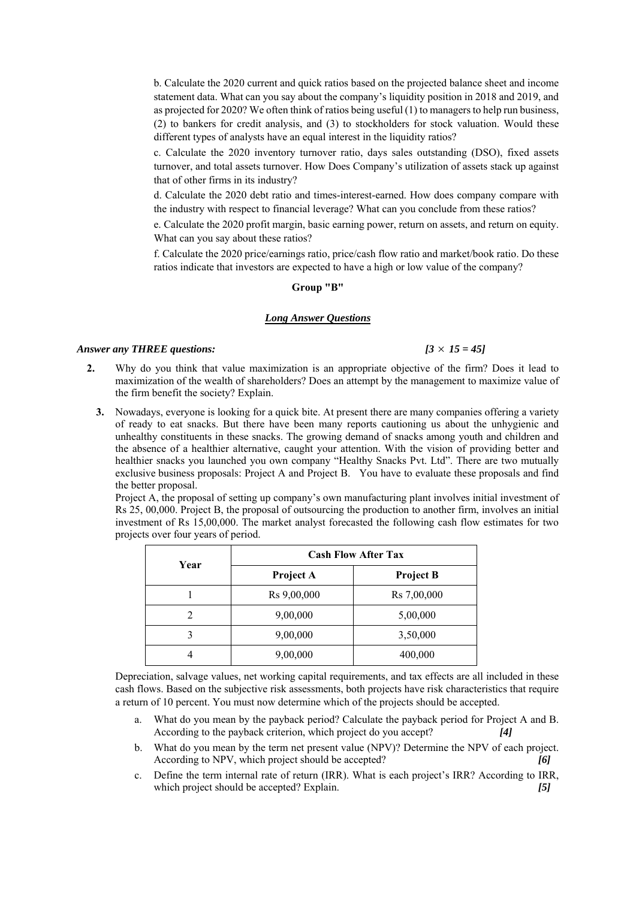b. Calculate the 2020 current and quick ratios based on the projected balance sheet and income statement data. What can you say about the company's liquidity position in 2018 and 2019, and as projected for 2020? We often think of ratios being useful (1) to managers to help run business, (2) to bankers for credit analysis, and (3) to stockholders for stock valuation. Would these different types of analysts have an equal interest in the liquidity ratios?

c. Calculate the 2020 inventory turnover ratio, days sales outstanding (DSO), fixed assets turnover, and total assets turnover. How Does Company's utilization of assets stack up against that of other firms in its industry?

d. Calculate the 2020 debt ratio and times-interest-earned. How does company compare with the industry with respect to financial leverage? What can you conclude from these ratios?

e. Calculate the 2020 profit margin, basic earning power, return on assets, and return on equity. What can you say about these ratios?

f. Calculate the 2020 price/earnings ratio, price/cash flow ratio and market/book ratio. Do these ratios indicate that investors are expected to have a high or low value of the company?

#### **Group "B"**

#### *Long Answer Questions*

### *Answer any THREE questions:*  $[3 \times 15 = 45]$

- **2.** Why do you think that value maximization is an appropriate objective of the firm? Does it lead to maximization of the wealth of shareholders? Does an attempt by the management to maximize value of the firm benefit the society? Explain.
	- **3.** Nowadays, everyone is looking for a quick bite. At present there are many companies offering a variety of ready to eat snacks. But there have been many reports cautioning us about the unhygienic and unhealthy constituents in these snacks. The growing demand of snacks among youth and children and the absence of a healthier alternative, caught your attention. With the vision of providing better and healthier snacks you launched you own company "Healthy Snacks Pvt. Ltd". There are two mutually exclusive business proposals: Project A and Project B. You have to evaluate these proposals and find the better proposal.

Project A, the proposal of setting up company's own manufacturing plant involves initial investment of Rs 25, 00,000. Project B, the proposal of outsourcing the production to another firm, involves an initial investment of Rs 15,00,000. The market analyst forecasted the following cash flow estimates for two projects over four years of period.

| Year |             | <b>Cash Flow After Tax</b> |  |
|------|-------------|----------------------------|--|
|      | Project A   | <b>Project B</b>           |  |
|      | Rs 9,00,000 | Rs 7,00,000                |  |
|      | 9,00,000    | 5,00,000                   |  |
|      | 9,00,000    | 3,50,000                   |  |
|      | 9,00,000    | 400,000                    |  |

Depreciation, salvage values, net working capital requirements, and tax effects are all included in these cash flows. Based on the subjective risk assessments, both projects have risk characteristics that require a return of 10 percent. You must now determine which of the projects should be accepted.

- a. What do you mean by the payback period? Calculate the payback period for Project A and B. According to the payback criterion, which project do you accept? *[4]*
- b. What do you mean by the term net present value (NPV)? Determine the NPV of each project. According to NPV, which project should be accepted? *[6]*
- c. Define the term internal rate of return (IRR). What is each project's IRR? According to IRR, which project should be accepted? Explain. *[5] [5]*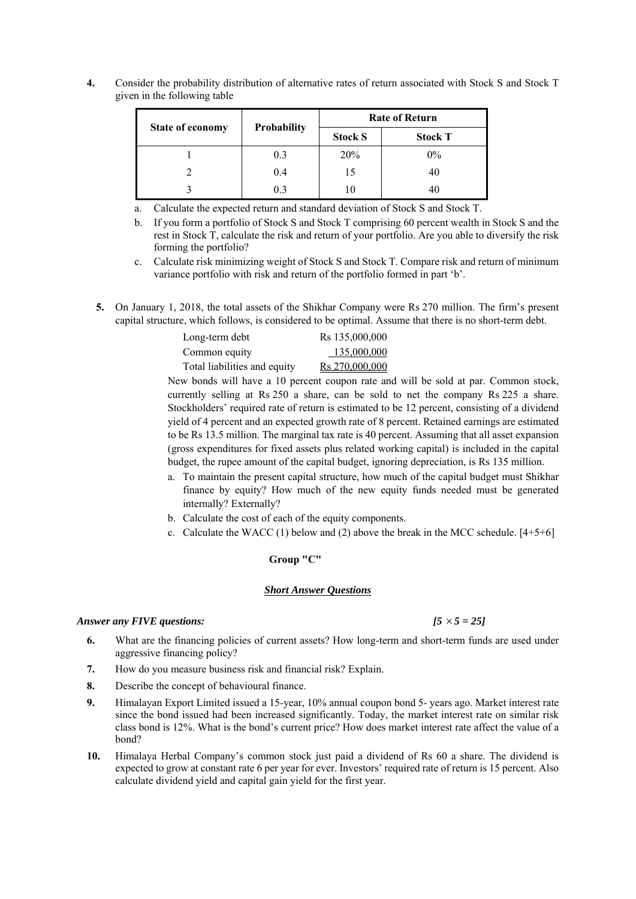**4.** Consider the probability distribution of alternative rates of return associated with Stock S and Stock T given in the following table

|                         |             | <b>Rate of Return</b> |                |
|-------------------------|-------------|-----------------------|----------------|
| <b>State of economy</b> | Probability | <b>Stock S</b>        | <b>Stock T</b> |
|                         | 0.3         | 20%                   | $0\%$          |
|                         | 0.4         | 15                    | 40             |
|                         | 0.3         | 10                    | 40             |

- a. Calculate the expected return and standard deviation of Stock S and Stock T.
- b. If you form a portfolio of Stock S and Stock T comprising 60 percent wealth in Stock S and the rest in Stock T, calculate the risk and return of your portfolio. Are you able to diversify the risk forming the portfolio?
- c. Calculate risk minimizing weight of Stock S and Stock T. Compare risk and return of minimum variance portfolio with risk and return of the portfolio formed in part 'b'.
- **5.** On January 1, 2018, the total assets of the Shikhar Company were Rs 270 million. The firm's present capital structure, which follows, is considered to be optimal. Assume that there is no short-term debt.

| Long-term debt               | Rs 135,000,000 |
|------------------------------|----------------|
| Common equity                | 135,000,000    |
| Total liabilities and equity | Rs 270,000,000 |

New bonds will have a 10 percent coupon rate and will be sold at par. Common stock, currently selling at Rs 250 a share, can be sold to net the company Rs 225 a share. Stockholders' required rate of return is estimated to be 12 percent, consisting of a dividend yield of 4 percent and an expected growth rate of 8 percent. Retained earnings are estimated to be Rs 13.5 million. The marginal tax rate is 40 percent. Assuming that all asset expansion (gross expenditures for fixed assets plus related working capital) is included in the capital budget, the rupee amount of the capital budget, ignoring depreciation, is Rs 135 million.

- a. To maintain the present capital structure, how much of the capital budget must Shikhar finance by equity? How much of the new equity funds needed must be generated internally? Externally?
- b. Calculate the cost of each of the equity components.
- c. Calculate the WACC (1) below and (2) above the break in the MCC schedule.  $[4+5+6]$

# **Group "C"**

#### *Short Answer Questions*

#### *Answer any FIVE questions: [5 5 = 25]*

- **6.** What are the financing policies of current assets? How long-term and short-term funds are used under aggressive financing policy?
- **7.** How do you measure business risk and financial risk? Explain.
- **8.** Describe the concept of behavioural finance.
- **9.** Himalayan Export Limited issued a 15-year, 10% annual coupon bond 5- years ago. Market interest rate since the bond issued had been increased significantly. Today, the market interest rate on similar risk class bond is 12%. What is the bond's current price? How does market interest rate affect the value of a bond?
- **10.** Himalaya Herbal Company's common stock just paid a dividend of Rs 60 a share. The dividend is expected to grow at constant rate 6 per year for ever. Investors' required rate of return is 15 percent. Also calculate dividend yield and capital gain yield for the first year.